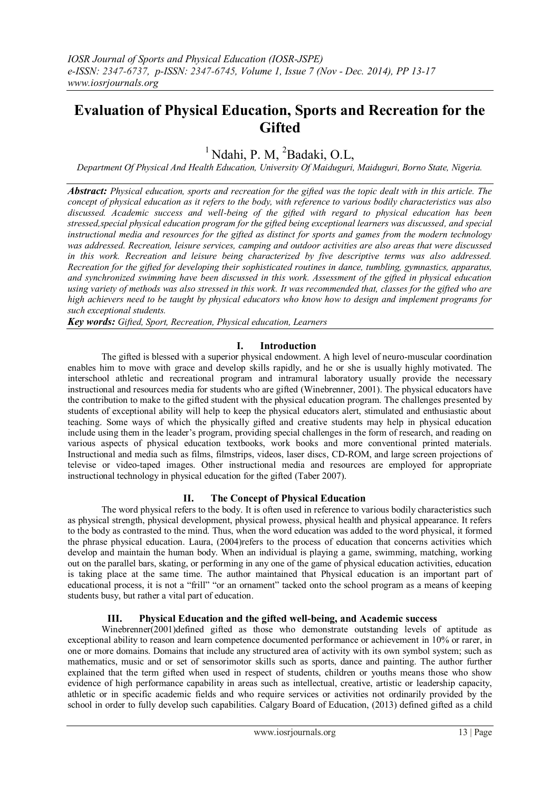# **Evaluation of Physical Education, Sports and Recreation for the Gifted**

<sup>1</sup> Ndahi, P. M. <sup>2</sup>Badaki, O.L.

*Department Of Physical And Health Education, University Of Maiduguri, Maiduguri, Borno State, Nigeria.*

*Abstract: Physical education, sports and recreation for the gifted was the topic dealt with in this article. The concept of physical education as it refers to the body, with reference to various bodily characteristics was also discussed. Academic success and well-being of the gifted with regard to physical education has been stressed,special physical education program for the gifted being exceptional learners was discussed, and special instructional media and resources for the gifted as distinct for sports and games from the modern technology was addressed. Recreation, leisure services, camping and outdoor activities are also areas that were discussed in this work. Recreation and leisure being characterized by five descriptive terms was also addressed. Recreation for the gifted for developing their sophisticated routines in dance, tumbling, gymnastics, apparatus, and synchronized swimming have been discussed in this work. Assessment of the gifted in physical education using variety of methods was also stressed in this work. It was recommended that, classes for the gifted who are high achievers need to be taught by physical educators who know how to design and implement programs for such exceptional students.* 

*Key words: Gifted, Sport, Recreation, Physical education, Learners*

## **I. Introduction**

The gifted is blessed with a superior physical endowment. A high level of neuro-muscular coordination enables him to move with grace and develop skills rapidly, and he or she is usually highly motivated. The interschool athletic and recreational program and intramural laboratory usually provide the necessary instructional and resources media for students who are gifted (Winebrenner, 2001). The physical educators have the contribution to make to the gifted student with the physical education program. The challenges presented by students of exceptional ability will help to keep the physical educators alert, stimulated and enthusiastic about teaching. Some ways of which the physically gifted and creative students may help in physical education include using them in the leader's program, providing special challenges in the form of research, and reading on various aspects of physical education textbooks, work books and more conventional printed materials. Instructional and media such as films, filmstrips, videos, laser discs, CD-ROM, and large screen projections of televise or video-taped images. Other instructional media and resources are employed for appropriate instructional technology in physical education for the gifted (Taber 2007).

### **II. The Concept of Physical Education**

The word physical refers to the body. It is often used in reference to various bodily characteristics such as physical strength, physical development, physical prowess, physical health and physical appearance. It refers to the body as contrasted to the mind. Thus, when the word education was added to the word physical, it formed the phrase physical education. Laura, (2004)refers to the process of education that concerns activities which develop and maintain the human body. When an individual is playing a game, swimming, matching, working out on the parallel bars, skating, or performing in any one of the game of physical education activities, education is taking place at the same time. The author maintained that Physical education is an important part of educational process, it is not a "frill" "or an ornament" tacked onto the school program as a means of keeping students busy, but rather a vital part of education.

# **III. Physical Education and the gifted well-being, and Academic success**

Winebrenner(2001)defined gifted as those who demonstrate outstanding levels of aptitude as exceptional ability to reason and learn competence documented performance or achievement in 10% or rarer, in one or more domains. Domains that include any structured area of activity with its own symbol system; such as mathematics, music and or set of sensorimotor skills such as sports, dance and painting. The author further explained that the term gifted when used in respect of students, children or youths means those who show evidence of high performance capability in areas such as intellectual, creative, artistic or leadership capacity, athletic or in specific academic fields and who require services or activities not ordinarily provided by the school in order to fully develop such capabilities. Calgary Board of Education, (2013) defined gifted as a child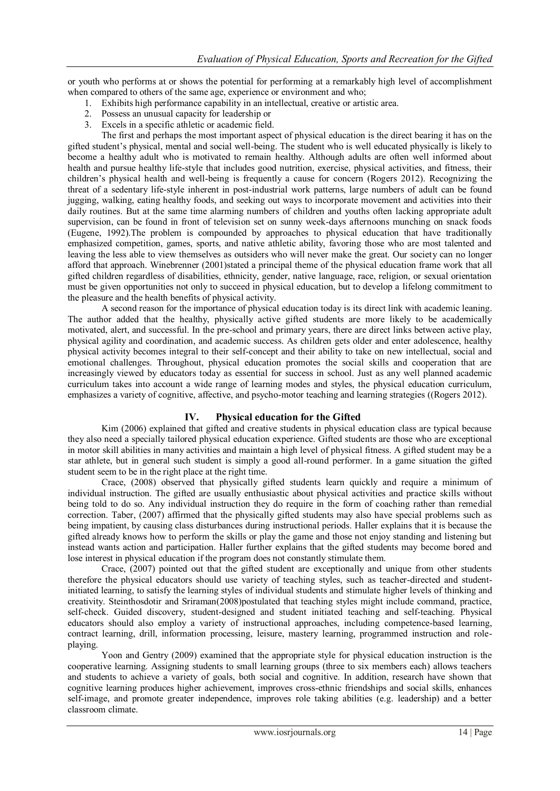or youth who performs at or shows the potential for performing at a remarkably high level of accomplishment when compared to others of the same age, experience or environment and who;

- 1. Exhibits high performance capability in an intellectual, creative or artistic area.
- 2. Possess an unusual capacity for leadership or
- 3. Excels in a specific athletic or academic field.

The first and perhaps the most important aspect of physical education is the direct bearing it has on the gifted student's physical, mental and social well-being. The student who is well educated physically is likely to become a healthy adult who is motivated to remain healthy. Although adults are often well informed about health and pursue healthy life-style that includes good nutrition, exercise, physical activities, and fitness, their children's physical health and well-being is frequently a cause for concern (Rogers 2012). Recognizing the threat of a sedentary life-style inherent in post-industrial work patterns, large numbers of adult can be found jugging, walking, eating healthy foods, and seeking out ways to incorporate movement and activities into their daily routines. But at the same time alarming numbers of children and youths often lacking appropriate adult supervision, can be found in front of television set on sunny week-days afternoons munching on snack foods (Eugene, 1992).The problem is compounded by approaches to physical education that have traditionally emphasized competition, games, sports, and native athletic ability, favoring those who are most talented and leaving the less able to view themselves as outsiders who will never make the great. Our society can no longer afford that approach. Winebrenner (2001)stated a principal theme of the physical education frame work that all gifted children regardless of disabilities, ethnicity, gender, native language, race, religion, or sexual orientation must be given opportunities not only to succeed in physical education, but to develop a lifelong commitment to the pleasure and the health benefits of physical activity.

A second reason for the importance of physical education today is its direct link with academic leaning. The author added that the healthy, physically active gifted students are more likely to be academically motivated, alert, and successful. In the pre-school and primary years, there are direct links between active play, physical agility and coordination, and academic success. As children gets older and enter adolescence, healthy physical activity becomes integral to their self-concept and their ability to take on new intellectual, social and emotional challenges. Throughout, physical education promotes the social skills and cooperation that are increasingly viewed by educators today as essential for success in school. Just as any well planned academic curriculum takes into account a wide range of learning modes and styles, the physical education curriculum, emphasizes a variety of cognitive, affective, and psycho-motor teaching and learning strategies ((Rogers 2012).

### **IV. Physical education for the Gifted**

Kim (2006) explained that gifted and creative students in physical education class are typical because they also need a specially tailored physical education experience. Gifted students are those who are exceptional in motor skill abilities in many activities and maintain a high level of physical fitness. A gifted student may be a star athlete, but in general such student is simply a good all-round performer. In a game situation the gifted student seem to be in the right place at the right time.

Crace, (2008) observed that physically gifted students learn quickly and require a minimum of individual instruction. The gifted are usually enthusiastic about physical activities and practice skills without being told to do so. Any individual instruction they do require in the form of coaching rather than remedial correction. Taber, (2007) affirmed that the physically gifted students may also have special problems such as being impatient, by causing class disturbances during instructional periods. Haller explains that it is because the gifted already knows how to perform the skills or play the game and those not enjoy standing and listening but instead wants action and participation. Haller further explains that the gifted students may become bored and lose interest in physical education if the program does not constantly stimulate them.

Crace, (2007) pointed out that the gifted student are exceptionally and unique from other students therefore the physical educators should use variety of teaching styles, such as teacher-directed and studentinitiated learning, to satisfy the learning styles of individual students and stimulate higher levels of thinking and creativity. Steinthosdotir and Sriraman(2008)postulated that teaching styles might include command, practice, self-check. Guided discovery, student-designed and student initiated teaching and self-teaching. Physical educators should also employ a variety of instructional approaches, including competence-based learning, contract learning, drill, information processing, leisure, mastery learning, programmed instruction and roleplaying.

Yoon and Gentry (2009) examined that the appropriate style for physical education instruction is the cooperative learning. Assigning students to small learning groups (three to six members each) allows teachers and students to achieve a variety of goals, both social and cognitive. In addition, research have shown that cognitive learning produces higher achievement, improves cross-ethnic friendships and social skills, enhances self-image, and promote greater independence, improves role taking abilities (e.g. leadership) and a better classroom climate.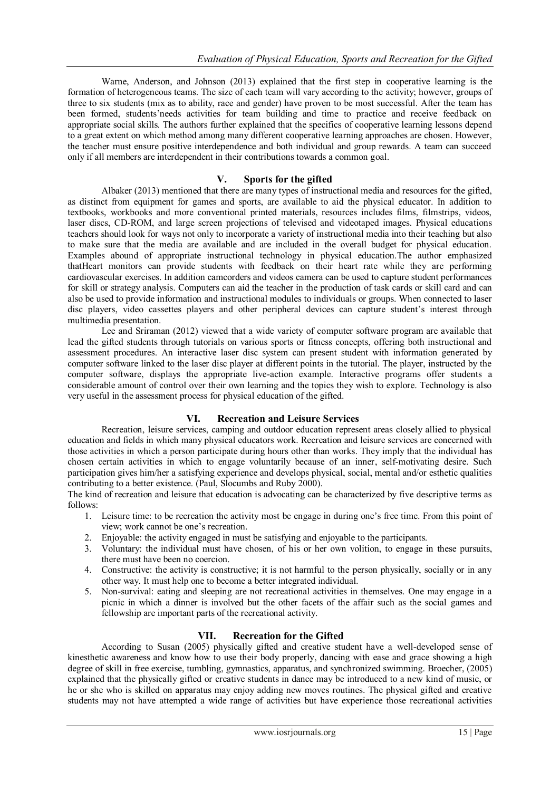Warne, Anderson, and Johnson (2013) explained that the first step in cooperative learning is the formation of heterogeneous teams. The size of each team will vary according to the activity; however, groups of three to six students (mix as to ability, race and gender) have proven to be most successful. After the team has been formed, students'needs activities for team building and time to practice and receive feedback on appropriate social skills. The authors further explained that the specifics of cooperative learning lessons depend to a great extent on which method among many different cooperative learning approaches are chosen. However, the teacher must ensure positive interdependence and both individual and group rewards. A team can succeed only if all members are interdependent in their contributions towards a common goal.

## **V. Sports for the gifted**

Albaker (2013) mentioned that there are many types of instructional media and resources for the gifted, as distinct from equipment for games and sports, are available to aid the physical educator. In addition to textbooks, workbooks and more conventional printed materials, resources includes films, filmstrips, videos, laser discs, CD-ROM, and large screen projections of televised and videotaped images. Physical educations teachers should look for ways not only to incorporate a variety of instructional media into their teaching but also to make sure that the media are available and are included in the overall budget for physical education. Examples abound of appropriate instructional technology in physical education.The author emphasized thatHeart monitors can provide students with feedback on their heart rate while they are performing cardiovascular exercises. In addition camcorders and videos camera can be used to capture student performances for skill or strategy analysis. Computers can aid the teacher in the production of task cards or skill card and can also be used to provide information and instructional modules to individuals or groups. When connected to laser disc players, video cassettes players and other peripheral devices can capture student's interest through multimedia presentation.

Lee and Sriraman (2012) viewed that a wide variety of computer software program are available that lead the gifted students through tutorials on various sports or fitness concepts, offering both instructional and assessment procedures. An interactive laser disc system can present student with information generated by computer software linked to the laser disc player at different points in the tutorial. The player, instructed by the computer software, displays the appropriate live-action example. Interactive programs offer students a considerable amount of control over their own learning and the topics they wish to explore. Technology is also very useful in the assessment process for physical education of the gifted.

# **VI. Recreation and Leisure Services**

Recreation, leisure services, camping and outdoor education represent areas closely allied to physical education and fields in which many physical educators work. Recreation and leisure services are concerned with those activities in which a person participate during hours other than works. They imply that the individual has chosen certain activities in which to engage voluntarily because of an inner, self-motivating desire. Such participation gives him/her a satisfying experience and develops physical, social, mental and/or esthetic qualities contributing to a better existence. (Paul, Slocumbs and Ruby 2000).

The kind of recreation and leisure that education is advocating can be characterized by five descriptive terms as follows:

- 1. Leisure time: to be recreation the activity most be engage in during one's free time. From this point of view; work cannot be one's recreation.
- 2. Enjoyable: the activity engaged in must be satisfying and enjoyable to the participants.<br>3. Voluntary: the individual must have chosen, of his or her own volition, to engage is
- 3. Voluntary: the individual must have chosen, of his or her own volition, to engage in these pursuits, there must have been no coercion.
- 4. Constructive: the activity is constructive; it is not harmful to the person physically, socially or in any other way. It must help one to become a better integrated individual.
- 5. Non-survival: eating and sleeping are not recreational activities in themselves. One may engage in a picnic in which a dinner is involved but the other facets of the affair such as the social games and fellowship are important parts of the recreational activity.

# **VII. Recreation for the Gifted**

According to Susan (2005) physically gifted and creative student have a well-developed sense of kinesthetic awareness and know how to use their body properly, dancing with ease and grace showing a high degree of skill in free exercise, tumbling, gymnastics, apparatus, and synchronized swimming. Broecher, (2005) explained that the physically gifted or creative students in dance may be introduced to a new kind of music, or he or she who is skilled on apparatus may enjoy adding new moves routines. The physical gifted and creative students may not have attempted a wide range of activities but have experience those recreational activities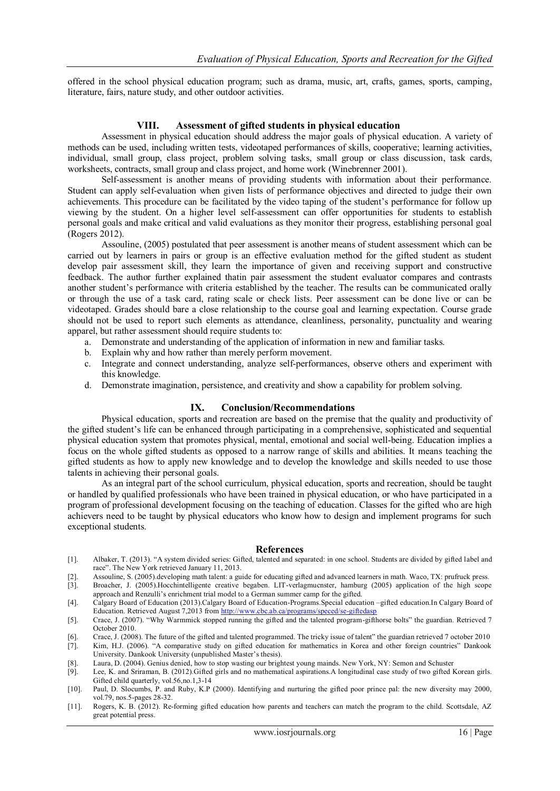offered in the school physical education program; such as drama, music, art, crafts, games, sports, camping, literature, fairs, nature study, and other outdoor activities.

#### **VIII. Assessment of gifted students in physical education**

Assessment in physical education should address the major goals of physical education. A variety of methods can be used, including written tests, videotaped performances of skills, cooperative; learning activities, individual, small group, class project, problem solving tasks, small group or class discussion, task cards, worksheets, contracts, small group and class project, and home work (Winebrenner 2001).

Self-assessment is another means of providing students with information about their performance. Student can apply self-evaluation when given lists of performance objectives and directed to judge their own achievements. This procedure can be facilitated by the video taping of the student's performance for follow up viewing by the student. On a higher level self-assessment can offer opportunities for students to establish personal goals and make critical and valid evaluations as they monitor their progress, establishing personal goal (Rogers 2012).

Assouline, (2005) postulated that peer assessment is another means of student assessment which can be carried out by learners in pairs or group is an effective evaluation method for the gifted student as student develop pair assessment skill, they learn the importance of given and receiving support and constructive feedback. The author further explained thatin pair assessment the student evaluator compares and contrasts another student's performance with criteria established by the teacher. The results can be communicated orally or through the use of a task card, rating scale or check lists. Peer assessment can be done live or can be videotaped. Grades should bare a close relationship to the course goal and learning expectation. Course grade should not be used to report such elements as attendance, cleanliness, personality, punctuality and wearing apparel, but rather assessment should require students to:

- a. Demonstrate and understanding of the application of information in new and familiar tasks.
- b. Explain why and how rather than merely perform movement.
- c. Integrate and connect understanding, analyze self-performances, observe others and experiment with this knowledge.
- d. Demonstrate imagination, persistence, and creativity and show a capability for problem solving.

#### **IX. Conclusion/Recommendations**

Physical education, sports and recreation are based on the premise that the quality and productivity of the gifted student's life can be enhanced through participating in a comprehensive, sophisticated and sequential physical education system that promotes physical, mental, emotional and social well-being. Education implies a focus on the whole gifted students as opposed to a narrow range of skills and abilities. It means teaching the gifted students as how to apply new knowledge and to develop the knowledge and skills needed to use those talents in achieving their personal goals.

As an integral part of the school curriculum, physical education, sports and recreation, should be taught or handled by qualified professionals who have been trained in physical education, or who have participated in a program of professional development focusing on the teaching of education. Classes for the gifted who are high achievers need to be taught by physical educators who know how to design and implement programs for such exceptional students.

#### **References**

- [1]. Albaker, T. (2013). "A system divided series: Gifted, talented and separated: in one school. Students are divided by gifted label and race". The New York retrieved January 11, 2013.
- [2]. Assouline, S. (2005).developing math talent: a guide for educating gifted and advanced learners in math. Waco, TX: prufruck press. [3]. Broacher, J. (2005).Hocchintelligente creative begaben. LIT-verlagmucnster, hamburg (2005) application of the high scope
- approach and Renzulli's enrichment trial model to a German summer camp for the gifted.
- [4]. Calgary Board of Education (2013).Calgary Board of Education-Programs.Special education –gifted education.In Calgary Board of Education. Retrieved August 7,2013 fro[m http://www.cbc.ab.ca/programs/speced/se-giftedasp](http://www.cbc.ab.ca/programs/speced/se-giftedasp)
- [5]. Crace, J. (2007). "Why Warmmick stopped running the gifted and the talented program-gifthorse bolts" the guardian. Retrieved 7 October 2010.
- [6]. Crace, J. (2008). The future of the gifted and talented programmed. The tricky issue of talent" the guardian retrieved 7 october 2010

[7]. Kim, H.J. (2006). "A comparative study on gifted education for mathematics in Korea and other foreign countries" Dankook University. Dankook University (unpublished Master's thesis).

- [8]. Laura, D. (2004). Genius denied, how to stop wasting our brightest young mainds. New York, NY: Semon and Schuster [9]. Lee, K. and Sriraman, B. (2012). Gifted girls and no mathematical aspirations. A longitudinal case
- Lee, K. and Sriraman, B. (2012).Gifted girls and no mathematical aspirations.A longitudinal case study of two gifted Korean girls. Gifted child quarterly, vol.56,no.1,3-14
- [10]. Paul, D. Slocumbs, P. and Ruby, K.P (2000). Identifying and nurturing the gifted poor prince pal: the new diversity may 2000, vol.79, nos.5-pages 28-32.
- [11]. Rogers, K. B. (2012). Re-forming gifted education how parents and teachers can match the program to the child. Scottsdale, AZ great potential press.